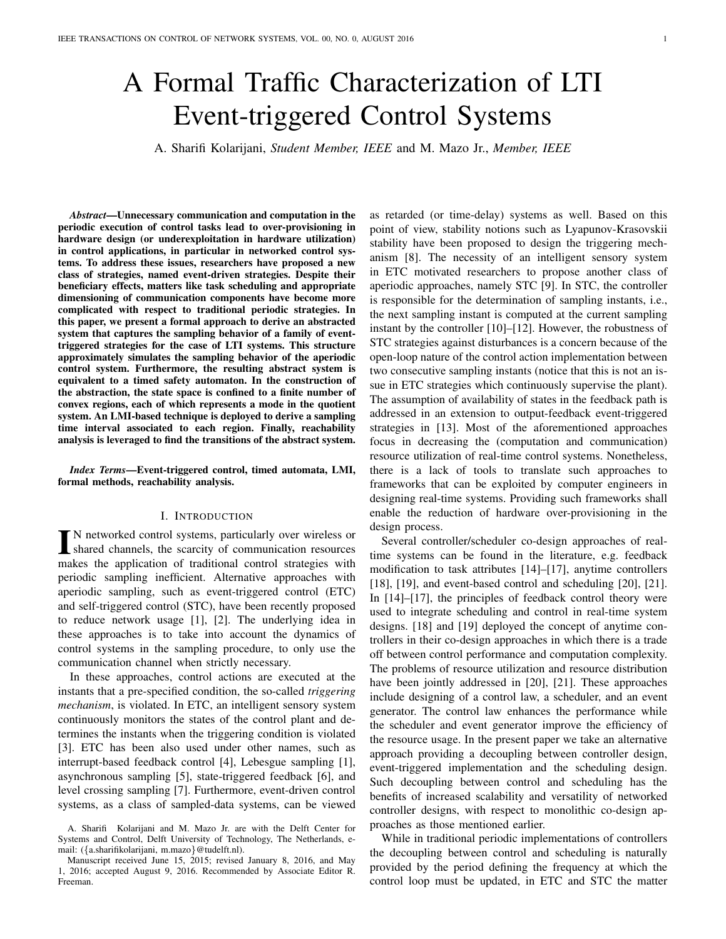# A Formal Traffic Characterization of LTI Event-triggered Control Systems

A. Sharifi Kolarijani, Student Member, IEEE and M. Mazo Jr., Member, IEEE

Abstract-Unnecessary communication and computation in the periodic execution of control tasks lead to over-provisioning in hardware design (or underexploitation in hardware utilization) in control applications, in particular in networked control systems. To address these issues, researchers have proposed a new class of strategies, named event-driven strategies. Despite their beneficiary effects, matters like task scheduling and appropriate dimensioning of communication components have become more complicated with respect to traditional periodic strategies. In this paper, we present a formal approach to derive an abstracted system that captures the sampling behavior of a family of eventtriggered strategies for the case of LTI systems. This structure approximately simulates the sampling behavior of the aperiodic control system. Furthermore, the resulting abstract system is equivalent to a timed safety automaton. In the construction of the abstraction, the state space is confined to a finite number of convex regions, each of which represents a mode in the quotient system. An LMI-based technique is deployed to derive a sampling time interval associated to each region. Finally, reachability analysis is leveraged to find the transitions of the abstract system.

Index Terms-Event-triggered control, timed automata, LMI, formal methods, reachability analysis.

## I. INTRODUCTION

N networked control systems, particularly over wireless or shared channels, the scarcity of communication resources makes the application of traditional control strategies with periodic sampling inefficient. Alternative approaches with aperiodic sampling, such as event-triggered control (ETC) and self-triggered control (STC), have been recently proposed to reduce network usage [1], [2]. The underlying idea in these approaches is to take into account the dynamics of control systems in the sampling procedure, to only use the communication channel when strictly necessary.

In these approaches, control actions are executed at the instants that a pre-specified condition, the so-called triggering *mechanism*, is violated. In ETC, an intelligent sensory system continuously monitors the states of the control plant and determines the instants when the triggering condition is violated [3]. ETC has been also used under other names, such as interrupt-based feedback control [4], Lebesgue sampling [1], asynchronous sampling [5], state-triggered feedback [6], and level crossing sampling [7]. Furthermore, event-driven control systems, as a class of sampled-data systems, can be viewed

as retarded (or time-delay) systems as well. Based on this point of view, stability notions such as Lyapunov-Krasovskii stability have been proposed to design the triggering mechanism [8]. The necessity of an intelligent sensory system in ETC motivated researchers to propose another class of aperiodic approaches, namely STC [9]. In STC, the controller is responsible for the determination of sampling instants, *i.e.*, the next sampling instant is computed at the current sampling instant by the controller  $[10]$ – $[12]$ . However, the robustness of STC strategies against disturbances is a concern because of the open-loop nature of the control action implementation between two consecutive sampling instants (notice that this is not an issue in ETC strategies which continuously supervise the plant). The assumption of availability of states in the feedback path is addressed in an extension to output-feedback event-triggered strategies in [13]. Most of the aforementioned approaches focus in decreasing the (computation and communication) resource utilization of real-time control systems. Nonetheless, there is a lack of tools to translate such approaches to frameworks that can be exploited by computer engineers in designing real-time systems. Providing such frameworks shall enable the reduction of hardware over-provisioning in the design process.

Several controller/scheduler co-design approaches of realtime systems can be found in the literature, e.g. feedback modification to task attributes [14]-[17], anytime controllers  $[18]$ ,  $[19]$ , and event-based control and scheduling  $[20]$ ,  $[21]$ . In  $[14]-[17]$ , the principles of feedback control theory were used to integrate scheduling and control in real-time system designs. [18] and [19] deployed the concept of anytime controllers in their co-design approaches in which there is a trade off between control performance and computation complexity. The problems of resource utilization and resource distribution have been jointly addressed in [20], [21]. These approaches include designing of a control law, a scheduler, and an event generator. The control law enhances the performance while the scheduler and event generator improve the efficiency of the resource usage. In the present paper we take an alternative approach providing a decoupling between controller design, event-triggered implementation and the scheduling design. Such decoupling between control and scheduling has the benefits of increased scalability and versatility of networked controller designs, with respect to monolithic co-design approaches as those mentioned earlier.

While in traditional periodic implementations of controllers the decoupling between control and scheduling is naturally provided by the period defining the frequency at which the control loop must be updated, in ETC and STC the matter

A. Sharifi Kolarijani and M. Mazo Jr. are with the Delft Center for Systems and Control, Delft University of Technology, The Netherlands, email: ({a.sharifikolarijani, m.mazo}@tudelft.nl).

Manuscript received June 15, 2015; revised January 8, 2016, and May 1, 2016; accepted August 9, 2016. Recommended by Associate Editor R. Freeman.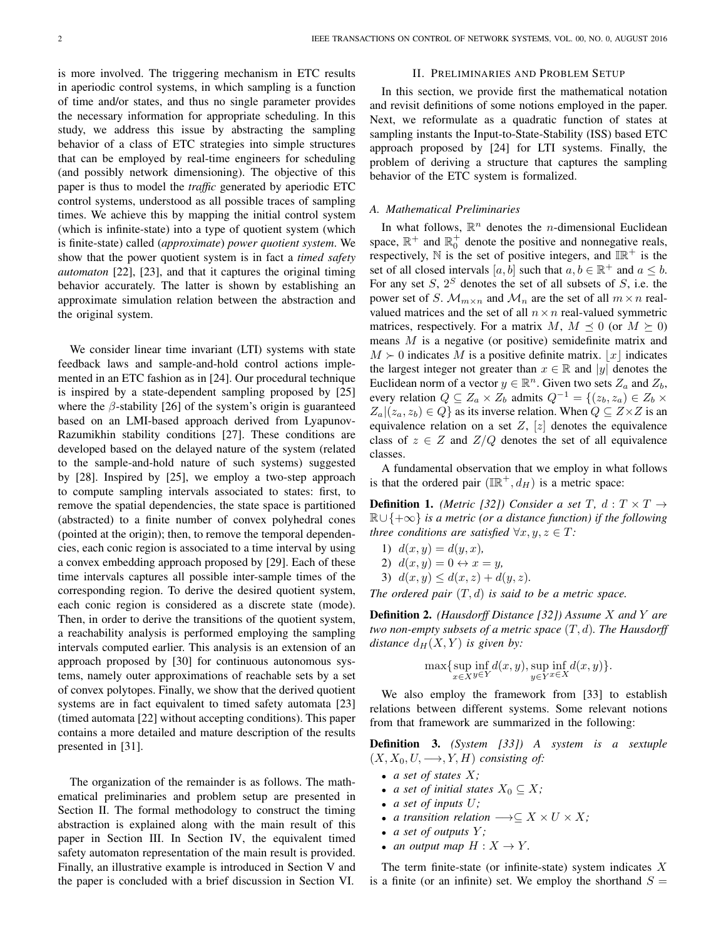is more involved. The triggering mechanism in ETC results in aperiodic control systems, in which sampling is a function of time and/or states, and thus no single parameter provides the necessary information for appropriate scheduling. In this study, we address this issue by abstracting the sampling behavior of a class of ETC strategies into simple structures that can be employed by real-time engineers for scheduling (and possibly network dimensioning). The objective of this paper is thus to model the *traffic* generated by aperiodic ETC control systems, understood as all possible traces of sampling times. We achieve this by mapping the initial control system (which is infinite-state) into a type of quotient system (which is finite-state) called *(approximate)* power *quotient system*. We show that the power quotient system is in fact a timed safety *automaton* [22], [23], and that it captures the original timing behavior accurately. The latter is shown by establishing an approximate simulation relation between the abstraction and the original system.

We consider linear time invariant (LTI) systems with state feedback laws and sample-and-hold control actions implemented in an ETC fashion as in [24]. Our procedural technique is inspired by a state-dependent sampling proposed by [25] where the  $\beta$ -stability [26] of the system's origin is guaranteed based on an LMI-based approach derived from Lyapunov-Razumikhin stability conditions [27]. These conditions are developed based on the delayed nature of the system (related to the sample-and-hold nature of such systems) suggested by [28]. Inspired by [25], we employ a two-step approach to compute sampling intervals associated to states: first, to remove the spatial dependencies, the state space is partitioned (abstracted) to a finite number of convex polyhedral cones (pointed at the origin); then, to remove the temporal dependencies, each conic region is associated to a time interval by using a convex embedding approach proposed by [29]. Each of these time intervals captures all possible inter-sample times of the corresponding region. To derive the desired quotient system, each conic region is considered as a discrete state (mode). Then, in order to derive the transitions of the quotient system, a reachability analysis is performed employing the sampling intervals computed earlier. This analysis is an extension of an approach proposed by [30] for continuous autonomous systems, namely outer approximations of reachable sets by a set of convex polytopes. Finally, we show that the derived quotient systems are in fact equivalent to timed safety automata [23] (timed automata [22] without accepting conditions). This paper contains a more detailed and mature description of the results presented in [31].

The organization of the remainder is as follows. The mathematical preliminaries and problem setup are presented in Section II. The formal methodology to construct the timing abstraction is explained along with the main result of this paper in Section III. In Section IV, the equivalent timed safety automaton representation of the main result is provided. Finally, an illustrative example is introduced in Section V and the paper is concluded with a brief discussion in Section VI.

## **II. PRELIMINARIES AND PROBLEM SETUP**

In this section, we provide first the mathematical notation and revisit definitions of some notions employed in the paper. Next, we reformulate as a quadratic function of states at sampling instants the Input-to-State-Stability (ISS) based ETC approach proposed by [24] for LTI systems. Finally, the problem of deriving a structure that captures the sampling behavior of the ETC system is formalized.

# A. Mathematical Preliminaries

In what follows,  $\mathbb{R}^n$  denotes the *n*-dimensional Euclidean space,  $\mathbb{R}^+$  and  $\mathbb{R}^+$  denote the positive and nonnegative reals, respectively, N is the set of positive integers, and  $\mathbb{IR}^+$  is the set of all closed intervals [a, b] such that  $a, b \in \mathbb{R}^+$  and  $a \leq b$ . For any set S,  $2^S$  denotes the set of all subsets of S, i.e. the power set of S.  $\mathcal{M}_{m \times n}$  and  $\mathcal{M}_n$  are the set of all  $m \times n$  realvalued matrices and the set of all  $n \times n$  real-valued symmetric matrices, respectively. For a matrix M,  $M \preceq 0$  (or  $M \succeq 0$ ) means  $M$  is a negative (or positive) semidefinite matrix and  $M \succ 0$  indicates M is a positive definite matrix. |x| indicates the largest integer not greater than  $x \in \mathbb{R}$  and |y| denotes the Euclidean norm of a vector  $y \in \mathbb{R}^n$ . Given two sets  $Z_a$  and  $Z_b$ , every relation  $Q \subseteq Z_a \times Z_b$  admits  $Q^{-1} = \{(z_b, z_a) \in Z_b \times Z_a\}$  $Z_a|(z_a, z_b) \in Q$  as its inverse relation. When  $Q \subseteq Z \times Z$  is an equivalence relation on a set  $Z$ ,  $[z]$  denotes the equivalence class of  $z \in Z$  and  $Z/Q$  denotes the set of all equivalence classes.

A fundamental observation that we employ in what follows is that the ordered pair  $(\mathbb{IR}^+, d_H)$  is a metric space:

**Definition 1.** (Metric [32]) Consider a set T,  $d: T \times T \rightarrow$  $\mathbb{R} \cup \{+\infty\}$  is a metric (or a distance function) if the following three conditions are satisfied  $\forall x, y, z \in T$ :

- 1)  $d(x, y) = d(y, x)$ ,
- 2)  $d(x, y) = 0 \leftrightarrow x = y$
- 3)  $d(x, y) \leq d(x, z) + d(y, z)$ .

The ordered pair  $(T, d)$  is said to be a metric space.

**Definition 2.** (Hausdorff Distance [32]) Assume X and Y are two non-empty subsets of a metric space  $(T, d)$ . The Hausdorff distance  $d_H(X, Y)$  is given by:

$$
\max \{ \sup_{x \in X} \inf_{y \in Y} d(x, y), \sup_{y \in Y} \inf_{x \in X} d(x, y) \}
$$

We also employ the framework from [33] to establish relations between different systems. Some relevant notions from that framework are summarized in the following:

**Definition 3.** (System [33]) A system is a sextuple  $(X, X_0, U, \longrightarrow, Y, H)$  consisting of:

- a set of states  $X$ ;
- *a set of initial states*  $X_0 \subseteq X$ ;
- a set of inputs  $U$ ;
- a transition relation  $\longrightarrow \subseteq X \times U \times X$ ;
- a set of outputs  $Y$ ;
- an output map  $H: X \to Y$ .

The term finite-state (or infinite-state) system indicates  $X$ is a finite (or an infinite) set. We employ the shorthand  $S =$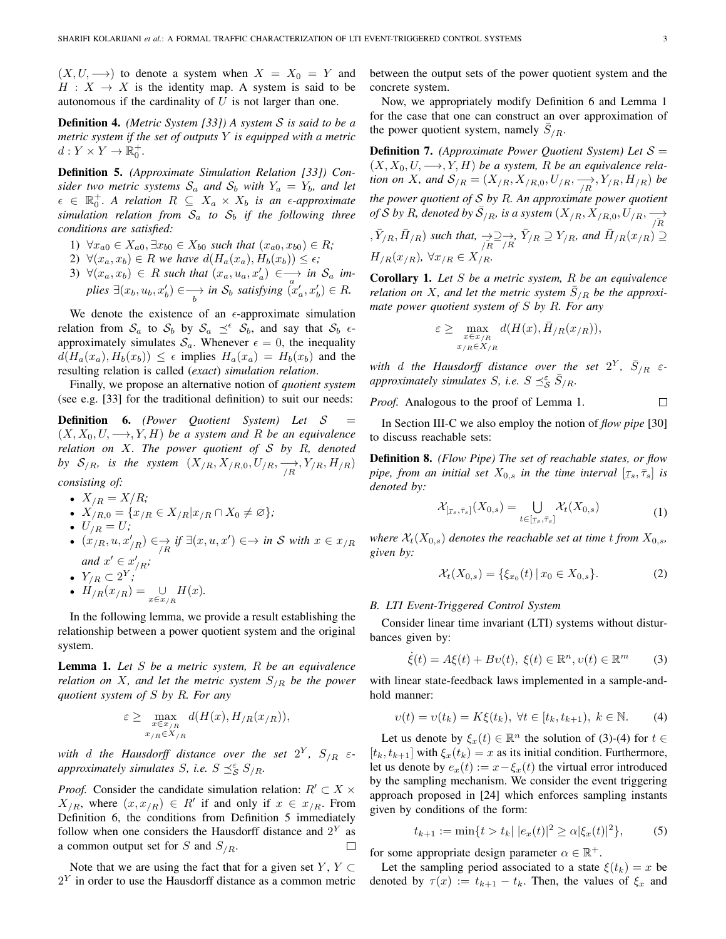$(X, U, \longrightarrow)$  to denote a system when  $X = X_0 = Y$  and  $H: X \rightarrow X$  is the identity map. A system is said to be autonomous if the cardinality of  $U$  is not larger than one.

**Definition 4.** (Metric System [33]) A system  $S$  is said to be a metric system if the set of outputs  $Y$  is equipped with a metric  $d: Y \times Y \to \mathbb{R}_0^+$ .

**Definition 5.** (Approximate Simulation Relation [33]) Consider two metric systems  $S_a$  and  $S_b$  with  $Y_a = Y_b$ , and let  $\epsilon \in \mathbb{R}_0^+$ . A relation  $R \subseteq X_a \times X_b$  is an  $\epsilon$ -approximate simulation relation from  $S_a$  to  $S_b$  if the following three conditions are satisfied:

- 1)  $\forall x_{a0} \in X_{a0}, \exists x_{b0} \in X_{b0}$  such that  $(x_{a0}, x_{b0}) \in R$ ;
- 2)  $\forall (x_a, x_b) \in R$  we have  $d(H_a(x_a), H_b(x_b)) \leq \epsilon$ ;
- 3)  $\forall (x_a, x_b) \in R$  such that  $(x_a, u_a, x'_a) \in \longrightarrow$  in  $S_a$  implies  $\exists (x_b, u_b, x'_b) \in \longrightarrow_{h}$  in  $\mathcal{S}_b$  satisfying  $(x'_a, x'_b) \in R$ .

We denote the existence of an  $\epsilon$ -approximate simulation relation from  $S_a$  to  $S_b$  by  $S_a \preceq^{\epsilon} S_b$ , and say that  $S_b \epsilon$ approximately simulates  $S_a$ . Whenever  $\epsilon = 0$ , the inequality  $d(H_a(x_a), H_b(x_b)) \leq \epsilon$  implies  $H_a(x_a) = H_b(x_b)$  and the resulting relation is called (exact) simulation relation.

Finally, we propose an alternative notion of *quotient system* (see e.g. [33] for the traditional definition) to suit our needs:

**Definition 6.** (Power Quotient System) Let S  $\equiv$  $(X, X_0, U, \longrightarrow, Y, H)$  be a system and R be an equivalence relation on  $X$ . The power quotient of  $S$  by  $R$ , denoted by  $S_{/R}$ , is the system  $(X_{/R}, X_{/R,0}, U_{/R}, \xrightarrow[N]{\longrightarrow} Y_{/R}, H_{/R})$ consisting of:

 $\bullet$   $X_{\ell P} = X/R$ :

• 
$$
X_{/R} = X_{/R}
$$
,  
\n•  $X_{/R,0} = \{x_{/R} \in X_{/R} | x_{/R} \cap X_0 \neq \emptyset \};$ 

$$
I I_{\ell} = I I_{\ell}
$$

•  $U_{/R} = U;$ <br>•  $(x_{/R}, u, x'_{/R}) \in \rightarrow \pi$  if  $\exists (x, u, x') \in \rightarrow \pi$  S with  $x \in x_{/R}$ and  $x' \in x'_{\scriptscriptstyle\mathcal{P}}$ ;

$$
\bullet \ \ Y_{\scriptscriptstyle IB} \subset 2^{Y} \cdot
$$

•  $H_{/R}(x_{/R}) = \bigcup_{x \in x_{/R}} H(x).$ 

In the following lemma, we provide a result establishing the relationship between a power quotient system and the original system.

**Lemma 1.** Let  $S$  be a metric system,  $R$  be an equivalence relation on X, and let the metric system  $S_{/R}$  be the power quotient system of  $S$  by  $R$ . For any

$$
\varepsilon \geq \max_{\substack{x \in x_{/R} \\ x_{/R} \in X_{/R}}} d(H(x), H_{/R}(x_{/R})),
$$

with d the Hausdorff distance over the set  $2^Y$ ,  $S_{/R}$   $\varepsilon$ approximately simulates S, i.e.  $S \preceq_S^{\varepsilon} S_{/R}$ .

*Proof.* Consider the candidate simulation relation:  $R' \subset X$  ×  $X_{/R}$ , where  $(x, x_{/R}) \in R'$  if and only if  $x \in x_{/R}$ . From Definition 6, the conditions from Definition 5 immediately follow when one considers the Hausdorff distance and  $2^Y$  as a common output set for S and  $S_{/R}$ .  $\Box$ 

Note that we are using the fact that for a given set  $Y, Y \subset$  $2<sup>Y</sup>$  in order to use the Hausdorff distance as a common metric between the output sets of the power quotient system and the concrete system.

Now, we appropriately modify Definition 6 and Lemma 1 for the case that one can construct an over approximation of the power quotient system, namely  $S_{/R}$ .

**Definition 7.** (Approximate Power Quotient System) Let  $S =$  $(X, X_0, U, \longrightarrow, Y, H)$  be a system, R be an equivalence relation on X, and  $S_{/R} = (X_{/R}, X_{/R,0}, U_{/R}, \frac{\rightarrow}{\sqrt{R}}, Y_{/R}, H_{/R})$  be the power quotient of  $S$  by  $R$ . An approximate power quotient of S by R, denoted by  $\overline{S}_{/R}$ , is a system  $(X_{/R}, X_{/R,0}, U_{/R}, \frac{\partial}{\partial R})$  $,\bar{Y}_{/R}, \bar{H}_{/R})$  such that,  $\rightarrow \supseteq \rightarrow$ ,  $\bar{Y}_{/R} \supseteq Y_{/R}$ , and  $\bar{H}_{/R}(x_{/R}) \supseteq H_{/R}(x_{/R})$ ,  $\forall x_{/R} \in X_{/R}$ .

**Corollary 1.** Let  $S$  be a metric system,  $R$  be an equivalence relation on X, and let the metric system  $\bar{S}_{/R}$  be the approximate power quotient system of  $S$  by  $R$ . For any

$$
\varepsilon \geq \max_{\substack{x \in x_{/R} \\ x_{/R} \in X_{/R}}} d(H(x), \bar{H}_{/R}(x_{/R})),
$$

with d the Hausdorff distance over the set  $2^Y$ ,  $\overline{S}_{/R}$   $\varepsilon$ approximately simulates S, i.e.  $S \preceq_{\mathcal{S}}^{\varepsilon} \overline{S}_{/R}$ .

Proof. Analogous to the proof of Lemma 1.

In Section III-C we also employ the notion of *flow pipe* [30] to discuss reachable sets:

**Definition 8.** (Flow Pipe) The set of reachable states, or flow pipe, from an initial set  $X_{0,s}$  in the time interval  $[\tau_s, \bar{\tau}_s]$  is denoted by:

$$
\mathcal{X}_{[\tau_s,\bar{\tau}_s]}(X_{0,s}) = \bigcup_{t \in [\tau_s,\bar{\tau}_s]} \mathcal{X}_t(X_{0,s})
$$
\n(1)

where  $\mathcal{X}_t(X_{0,s})$  denotes the reachable set at time t from  $X_{0,s}$ , given by:

$$
\mathcal{X}_t(X_{0,s}) = \{ \xi_{x_0}(t) \, | \, x_0 \in X_{0,s} \}. \tag{2}
$$

## B. LTI Event-Triggered Control System

Consider linear time invariant (LTI) systems without disturbances given by:

$$
\dot{\xi}(t) = A\xi(t) + B\upsilon(t), \ \xi(t) \in \mathbb{R}^n, \upsilon(t) \in \mathbb{R}^m \tag{3}
$$

with linear state-feedback laws implemented in a sample-andhold manner:

$$
v(t) = v(t_k) = K\xi(t_k), \ \forall t \in [t_k, t_{k+1}), \ k \in \mathbb{N}.
$$
 (4)

Let us denote by  $\xi_x(t) \in \mathbb{R}^n$  the solution of (3)-(4) for  $t \in$  $[t_k, t_{k+1}]$  with  $\xi_x(t_k) = x$  as its initial condition. Furthermore, let us denote by  $e_x(t) := x - \xi_x(t)$  the virtual error introduced by the sampling mechanism. We consider the event triggering approach proposed in [24] which enforces sampling instants given by conditions of the form:

$$
t_{k+1} := \min\{t > t_k | |e_x(t)|^2 \ge \alpha |\xi_x(t)|^2\},\tag{5}
$$

for some appropriate design parameter  $\alpha \in \mathbb{R}^+$ .

Let the sampling period associated to a state  $\xi(t_k) = x$  be denoted by  $\tau(x) := t_{k+1} - t_k$ . Then, the values of  $\xi_x$  and

 $\Box$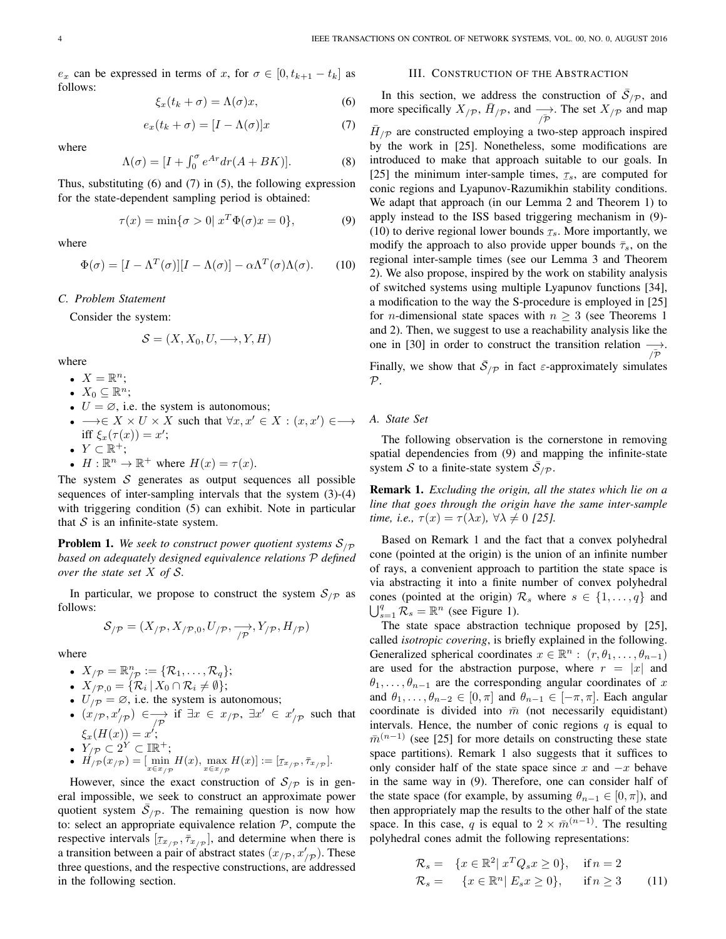$e_x$  can be expressed in terms of x, for  $\sigma \in [0, t_{k+1} - t_k]$  as follows:

$$
\xi_x(t_k + \sigma) = \Lambda(\sigma)x,\tag{6}
$$

$$
e_x(t_k + \sigma) = [I - \Lambda(\sigma)]x \tag{7}
$$

where

$$
\Lambda(\sigma) = [I + \int_0^{\sigma} e^{Ar} dr (A + BK)]. \tag{8}
$$

Thus, substituting  $(6)$  and  $(7)$  in  $(5)$ , the following expression for the state-dependent sampling period is obtained:

$$
\tau(x) = \min\{\sigma > 0 | x^T \Phi(\sigma) x = 0\},\tag{9}
$$

where

$$
\Phi(\sigma) = [I - \Lambda^T(\sigma)][I - \Lambda(\sigma)] - \alpha \Lambda^T(\sigma) \Lambda(\sigma).
$$
 (10)

C. Problem Statement

Consider the system:

$$
\mathcal{S} = (X, X_0, U, \longrightarrow, Y, H)
$$

where

- $X = \mathbb{R}^n$ ;
- $X_0 \subseteq \mathbb{R}^n$ ;
- $U = \emptyset$ , i.e. the system is autonomous;
- $\bullet \longrightarrow \in X \times U \times X$  such that  $\forall x, x' \in X : (x, x') \in \longrightarrow$ iff  $\xi_r(\tau(x)) = x'$ ;
- $Y \subset \mathbb{R}^+$ ;
- $H: \mathbb{R}^n \to \mathbb{R}^+$  where  $H(x) = \tau(x)$ .

The system  $S$  generates as output sequences all possible sequences of inter-sampling intervals that the system  $(3)-(4)$ with triggering condition (5) can exhibit. Note in particular that  $S$  is an infinite-state system.

**Problem 1.** We seek to construct power quotient systems  $S_{\text{P}}$ based on adequately designed equivalence relations P defined over the state set  $X$  of  $S$ .

In particular, we propose to construct the system  $S_{p}$  as follows:

$$
\mathcal{S}_{/\mathcal{P}} = (X_{/\mathcal{P}}, X_{/\mathcal{P},0}, U_{/\mathcal{P}}, \xrightarrow[\mathcal{P}]{} Y_{/\mathcal{P}}, H_{/\mathcal{P}})
$$

where

- 
- 
- 
- $X_{/\mathcal{P}} = \mathbb{R}_{/\mathcal{P}}^n := {\mathcal{R}_1, \ldots, \mathcal{R}_q};$ <br>
  $X_{/\mathcal{P},0} = {\mathcal{R}_i | X_0 \cap \mathcal{R}_i \neq \emptyset};$ <br>
  $U_{/\mathcal{P}} = \emptyset$ , i.e. the system is autonomous;<br>
  $(x_{/\mathcal{P}}, x'_{/\mathcal{P}}) \in \longrightarrow_{/\mathcal{P}} \text{if } \exists x \in x_{/\mathcal{P}}, \exists x' \in x'_{/\mathcal{P}} \text{ such that } \xi_x(H(x))$

• 
$$
Y_{\mathcal{P}} \subset 2^Y \subset \mathbb{IR}^+
$$
;

• 
$$
H'_{/P}(x_{/P}) = \lim_{x \in x_{/P}} H(x), \max_{x \in x_{/P}} H(x) := [x_{x_{/P}}, \bar{\tau}_{x_{/P}}].
$$

However, since the exact construction of  $S_{\mathcal{P}}$  is in general impossible, we seek to construct an approximate power quotient system  $S_{/P}$ . The remaining question is now how to: select an appropriate equivalence relation  $P$ , compute the respective intervals  $[\tau_{x/p}, \bar{\tau}_{x/p}]$ , and determine when there is a transition between a pair of abstract states  $(x_{p}, x'_{p})$ . These three questions, and the respective constructions, are addressed in the following section.

# **III. CONSTRUCTION OF THE ABSTRACTION**

In this section, we address the construction of  $\overline{S}_{p}$ , and more specifically  $X_{/\mathcal{P}}$ ,  $\overline{H}_{/\mathcal{P}}$ , and  $\longrightarrow$ . The set  $X_{/\mathcal{P}}$  and map  $\bar{H}_{p}$  are constructed employing a two-step approach inspired by the work in [25]. Nonetheless, some modifications are introduced to make that approach suitable to our goals. In [25] the minimum inter-sample times,  $\tau_s$ , are computed for conic regions and Lyapunov-Razumikhin stability conditions. We adapt that approach (in our Lemma 2 and Theorem 1) to apply instead to the ISS based triggering mechanism in (9)-(10) to derive regional lower bounds  $\tau_s$ . More importantly, we modify the approach to also provide upper bounds  $\bar{\tau}_s$ , on the regional inter-sample times (see our Lemma 3 and Theorem 2). We also propose, inspired by the work on stability analysis of switched systems using multiple Lyapunov functions [34], a modification to the way the S-procedure is employed in [25] for *n*-dimensional state spaces with  $n \geq 3$  (see Theorems 1) and 2). Then, we suggest to use a reachability analysis like the one in [30] in order to construct the transition relation  $\rightarrow$ Finally, we show that  $S_{/P}$  in fact  $\varepsilon$ -approximately simulates  $\mathcal{P}.$ 

A. State Set

The following observation is the cornerstone in removing spatial dependencies from (9) and mapping the infinite-state system S to a finite-state system  $\overline{S}_{p}$ .

**Remark 1.** Excluding the origin, all the states which lie on a line that goes through the origin have the same inter-sample time, i.e.,  $\tau(x) = \tau(\lambda x)$ ,  $\forall \lambda \neq 0$  [25].

Based on Remark 1 and the fact that a convex polyhedral cone (pointed at the origin) is the union of an infinite number of rays, a convenient approach to partition the state space is via abstracting it into a finite number of convex polyhedral cones (pointed at the origin)  $\mathcal{R}_s$  where  $s \in \{1, \ldots, q\}$  and  $\bigcup_{s=1}^{q} \mathcal{R}_s = \mathbb{R}^n$  (see Figure 1).

The state space abstraction technique proposed by [25], called *isotropic covering*, is briefly explained in the following. Generalized spherical coordinates  $x \in \mathbb{R}^n : (r, \theta_1, \dots, \theta_{n-1})$ are used for the abstraction purpose, where  $r = |x|$  and  $\theta_1, \ldots, \theta_{n-1}$  are the corresponding angular coordinates of x and  $\theta_1, \ldots, \theta_{n-2} \in [0, \pi]$  and  $\theta_{n-1} \in [-\pi, \pi]$ . Each angular coordinate is divided into  $\bar{m}$  (not necessarily equidistant) intervals. Hence, the number of conic regions  $q$  is equal to  $\bar{m}^{(n-1)}$  (see [25] for more details on constructing these state space partitions). Remark 1 also suggests that it suffices to only consider half of the state space since x and  $-x$  behave in the same way in (9). Therefore, one can consider half of the state space (for example, by assuming  $\theta_{n-1} \in [0, \pi]$ ), and then appropriately map the results to the other half of the state space. In this case, q is equal to  $2 \times \overline{m}^{(n-1)}$ . The resulting polyhedral cones admit the following representations:

$$
\mathcal{R}_s = \{x \in \mathbb{R}^2 | x^T Q_s x \ge 0\}, \quad \text{if } n = 2
$$
  

$$
\mathcal{R}_s = \{x \in \mathbb{R}^n | E_s x \ge 0\}, \quad \text{if } n \ge 3 \qquad (11)
$$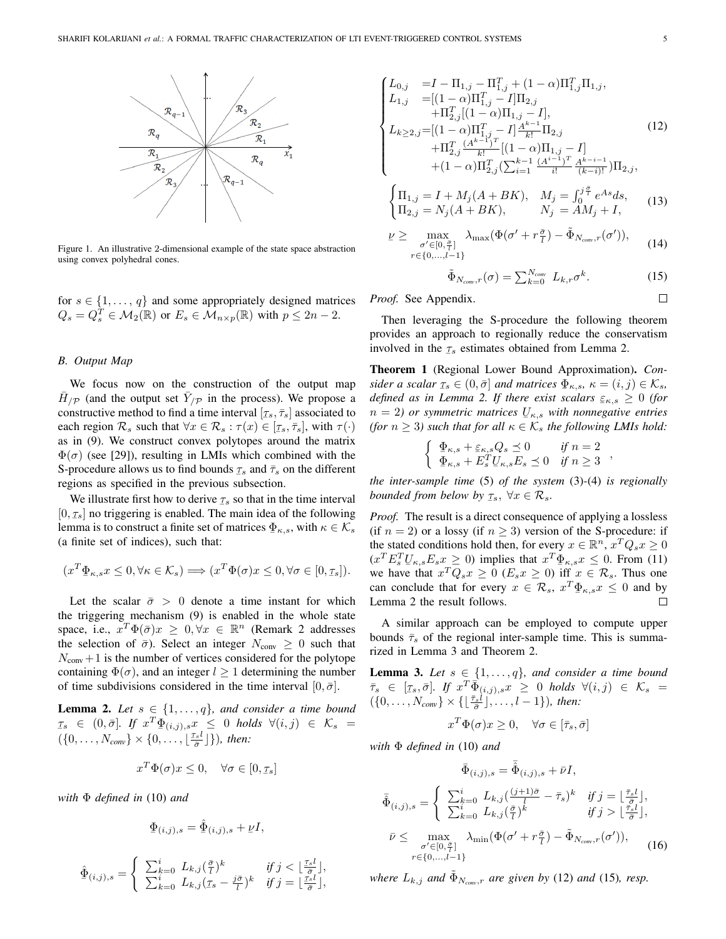

Figure 1. An illustrative 2-dimensional example of the state space abstraction using convex polyhedral cones.

for  $s \in \{1, ..., q\}$  and some appropriately designed matrices  $Q_s = Q_s^T \in \mathcal{M}_2(\mathbb{R})$  or  $E_s \in \mathcal{M}_{n \times p}(\mathbb{R})$  with  $p \leq 2n-2$ .

## **B.** Output Map

We focus now on the construction of the output map  $\bar{H}_{p}$  (and the output set  $\bar{Y}_{p}$  in the process). We propose a constructive method to find a time interval  $[\tau_s, \bar{\tau}_s]$  associated to each region  $\mathcal{R}_s$  such that  $\forall x \in \mathcal{R}_s : \tau(x) \in [\tau_s, \overline{\tau}_s],$  with  $\tau(\cdot)$ as in (9). We construct convex polytopes around the matrix  $\Phi(\sigma)$  (see [29]), resulting in LMIs which combined with the S-procedure allows us to find bounds  $\tau_s$  and  $\bar{\tau}_s$  on the different regions as specified in the previous subsection.

We illustrate first how to derive  $\tau_s$  so that in the time interval  $[0, \tau_s]$  no triggering is enabled. The main idea of the following lemma is to construct a finite set of matrices  $\Phi_{\kappa,s}$ , with  $\kappa \in \mathcal{K}_s$ (a finite set of indices), such that:

$$
(x^T \Phi_{\kappa,s} x \le 0, \forall \kappa \in \mathcal{K}_s) \Longrightarrow (x^T \Phi(\sigma) x \le 0, \forall \sigma \in [0, \tau_s]).
$$

Let the scalar  $\bar{\sigma} > 0$  denote a time instant for which the triggering mechanism (9) is enabled in the whole state space, i.e.,  $x^T \Phi(\bar{\sigma}) x \geq 0, \forall x \in \mathbb{R}^n$  (Remark 2 addresses the selection of  $\bar{\sigma}$ ). Select an integer  $N_{\text{conv}} \geq 0$  such that  $N_{\text{conv}}+1$  is the number of vertices considered for the polytope containing  $\Phi(\sigma)$ , and an integer  $l \geq 1$  determining the number of time subdivisions considered in the time interval  $[0, \bar{\sigma}]$ .

**Lemma 2.** Let  $s \in \{1, ..., q\}$ , and consider a time bound  $\tau_s$   $\in$   $(0, \bar{\sigma}]$ . If  $x^T \Phi_{(i,j),s} x \leq 0$  holds  $\forall (i,j) \in \mathcal{K}_s$  =  $(\{0,\ldots,N_{conv}\}\times\{0,\ldots,\lfloor\frac{\tau_{s}l}{\overline{\sigma}}\rfloor\}),\$  then:

$$
x^T \Phi(\sigma) x \le 0, \quad \forall \sigma \in [0, \tau_s]
$$

with  $\Phi$  defined in (10) and

$$
\Phi_{(i,j),s} = \hat{\Phi}_{(i,j),s} + \nu I,
$$

$$
\hat{\Phi}_{(i,j),s} = \begin{cases} \sum_{k=0}^{i} L_{k,j}(\frac{\bar{\sigma}}{l})^k & \text{if } j < \lfloor \frac{\tau_{s}l}{\bar{\sigma}} \rfloor, \\ \sum_{k=0}^{i} L_{k,j}(\tau_{s} - \frac{j\bar{\sigma}}{l})^k & \text{if } j = \lfloor \frac{\tau_{s}l}{\bar{\sigma}} \rfloor, \end{cases}
$$

$$
\begin{cases}\nL_{0,j} &= I - \Pi_{1,j} - \Pi_{1,j}^T + (1 - \alpha) \Pi_{1,j}^T \Pi_{1,j}, \\
L_{1,j} &= [(1 - \alpha) \Pi_{1,j}^T - I] \Pi_{2,j} \\
&+ \Pi_{2,j}^T [(1 - \alpha) \Pi_{1,j} - I], \\
L_{k \ge 2,j} = [(1 - \alpha) \Pi_{1,j}^T - I] \frac{A^{k-1}}{k!} \Pi_{2,j} \\
&+ \Pi_{2,j}^T \frac{(A^{k-1})^T}{k!} [(1 - \alpha) \Pi_{1,j} - I] \\
&+ (1 - \alpha) \Pi_{2,j}^T (\sum_{i=1}^{k-1} \frac{(A^{i-1})^T}{i!} \frac{A^{k-i-1}}{(k-i)!}) \Pi_{2,j},\n\end{cases} (12)
$$

$$
\begin{cases} \Pi_{1,j} = I + M_j(A + BK), & M_j = \int_0^{J\top} e^{As} ds, \\ \Pi_{2,j} = N_j(A + BK), & N_j = AM_j + I, \end{cases}
$$
(13)

$$
\underline{\nu} \geq \max_{\substack{\sigma' \in [0, \frac{\bar{\sigma}}{l}]}{r \in \{0, \ldots, l-1\}}} \lambda_{\max}(\Phi(\sigma' + r\frac{\bar{\sigma}}{l}) - \tilde{\Phi}_{N_{conv},r}(\sigma')), \qquad (14)
$$

$$
\tilde{\Phi}_{N_{conv},r}(\sigma) = \sum_{k=0}^{N_{conv}} L_{k,r} \sigma^k.
$$
\n(15)

Proof. See Appendix.

Then leveraging the S-procedure the following theorem provides an approach to regionally reduce the conservatism involved in the  $\tau_s$  estimates obtained from Lemma 2.

Theorem 1 (Regional Lower Bound Approximation). Consider a scalar  $\tau_s \in (0, \bar{\sigma}]$  and matrices  $\Phi_{\kappa, s}$ ,  $\kappa = (i, j) \in \mathcal{K}_s$ , defined as in Lemma 2. If there exist scalars  $\varepsilon_{\kappa,s} \geq 0$  (for  $n = 2$ ) or symmetric matrices  $U_{\kappa,s}$  with nonnegative entries (for  $n \geq 3$ ) such that for all  $\kappa \in \mathcal{K}_s$  the following LMIs hold:

$$
\begin{cases} \n\Phi_{\kappa,s} + \varepsilon_{\kappa,s} Q_s \preceq 0 & \text{if } n = 2 \\ \n\Phi_{\kappa,s} + E_s^T U_{\kappa,s} E_s \preceq 0 & \text{if } n \ge 3 \n\end{cases}
$$

the inter-sample time  $(5)$  of the system  $(3)-(4)$  is regionally bounded from below by  $\tau_s$ ,  $\forall x \in \mathcal{R}_s$ .

*Proof.* The result is a direct consequence of applying a lossless (if  $n = 2$ ) or a lossy (if  $n \ge 3$ ) version of the S-procedure: if the stated conditions hold then, for every  $x \in \mathbb{R}^n$ ,  $x^T Q_s x \ge 0$  $(x^T E_s^T U_{\kappa,s} E_s x \ge 0)$  implies that  $x^T \Phi_{\kappa,s} x \le 0$ . From (11) we have that  $x^T Q_s x \ge 0$  ( $E_s x \ge 0$ ) iff  $x \in \mathcal{R}_s$ . Thus one can conclude that for every  $x \in \mathcal{R}_s$ ,  $x^T \Phi_{\kappa,s} x \leq 0$  and by Lemma 2 the result follows.  $\Box$ 

A similar approach can be employed to compute upper bounds  $\bar{\tau}_s$  of the regional inter-sample time. This is summarized in Lemma 3 and Theorem 2.

**Lemma 3.** Let  $s \in \{1, ..., q\}$ , and consider a time bound  $\bar{\tau}_s \in [\tau_s, \bar{\sigma}],$  If  $x^T \overline{\Phi}_{(i,j),s} \overline{x} \geq 0$  holds  $\forall (i,j) \in \mathcal{K}_s = (\{0, \ldots, N_{conv}\} \times {\{\lfloor \frac{\bar{\tau}_s l}{\bar{\sigma}} \rfloor, \ldots, l-1\}}),$  then:

$$
x^T \Phi(\sigma) x \ge 0, \quad \forall \sigma \in [\bar{\tau}_s, \bar{\sigma}]
$$

with  $\Phi$  defined in (10) and

$$
\bar{\Phi}_{(i,j),s} = \bar{\hat{\Phi}}_{(i,j),s} + \bar{\nu}I,
$$
\n
$$
\bar{\hat{\Phi}}_{(i,j),s} = \begin{cases}\n\sum_{k=0}^{i} L_{k,j} \left( \frac{(j+1)\bar{\sigma}}{l} - \bar{\tau}_s \right)^k & \text{if } j = \lfloor \frac{\bar{\tau}_s l}{\bar{\sigma}} \rfloor, \\
\sum_{k=0}^{i} L_{k,j} \left( \frac{\bar{\tau}}{l} \right)^k & \text{if } j > \lfloor \frac{\bar{\tau}_s l}{\bar{\sigma}} \rfloor, \\
\bar{\nu} \leq \max_{\sigma' \in [0, \frac{\bar{\tau}}{l}]} \lambda_{\min} \left( \Phi(\sigma' + r \frac{\bar{\sigma}}{l}) - \tilde{\Phi}_{N_{\text{conv}},r}(\sigma') \right), \\
r \in \{0, \dots, l-1\}\n\end{cases}
$$
\n(16)

where  $L_{k,j}$  and  $\Phi_{N_{conv},r}$  are given by (12) and (15), resp.

 $\Box$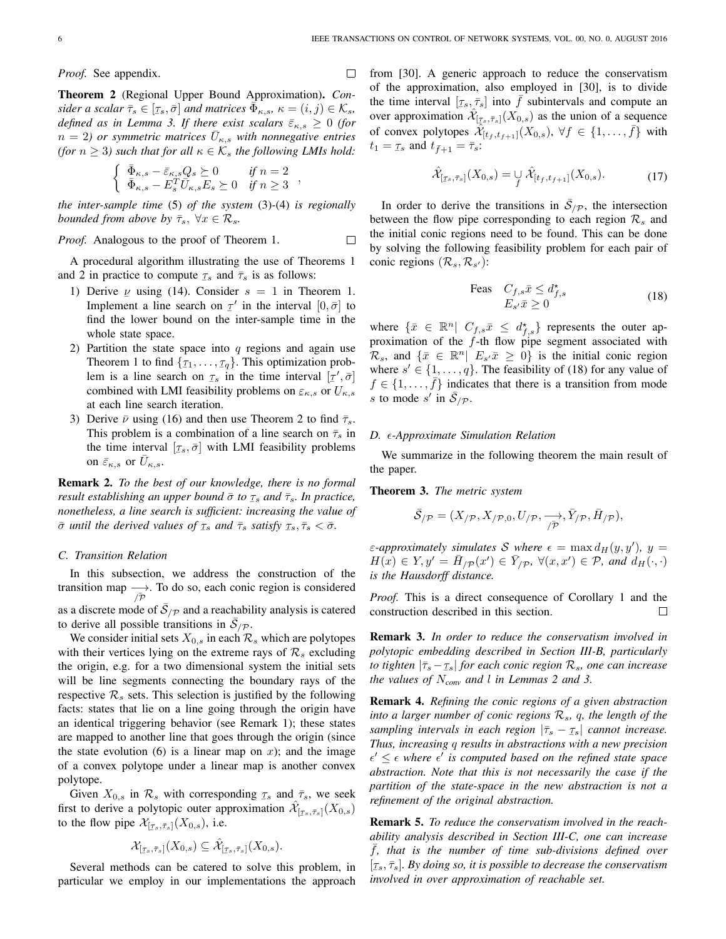$\Box$ 

*Proof.* See appendix.

Theorem 2 (Regional Upper Bound Approximation). Consider a scalar  $\bar{\tau}_s \in [\tau_s, \bar{\sigma}]$  and matrices  $\Phi_{\kappa,s}$ ,  $\kappa = (i,j) \in \mathcal{K}_s$ , defined as in Lemma 3. If there exist scalars  $\bar{\varepsilon}_{\kappa,s} \geq 0$  (for  $n = 2$ ) or symmetric matrices  $U_{\kappa,s}$  with nonnegative entries (for  $n \geq 3$ ) such that for all  $\kappa \in \mathcal{K}_s$  the following LMIs hold:

$$
\begin{cases} \ \bar{\Phi}_{\kappa,s} - \bar{\varepsilon}_{\kappa,s} Q_s \succeq 0 & \text{if } n = 2 \\ \ \bar{\Phi}_{\kappa,s} - E_s^T \bar{U}_{\kappa,s} E_s \succeq 0 & \text{if } n \geq 3 \end{cases},
$$

the inter-sample time  $(5)$  of the system  $(3)-(4)$  is regionally bounded from above by  $\bar{\tau}_s$ ,  $\forall x \in \mathcal{R}_s$ .

Proof. Analogous to the proof of Theorem 1.  $\Box$ 

A procedural algorithm illustrating the use of Theorems 1 and 2 in practice to compute  $\tau_s$  and  $\bar{\tau}_s$  is as follows:

- 1) Derive  $\nu$  using (14). Consider  $s = 1$  in Theorem 1. Implement a line search on  $\tau'$  in the interval  $[0, \bar{\sigma}]$  to find the lower bound on the inter-sample time in the whole state space.
- 2) Partition the state space into  $q$  regions and again use Theorem 1 to find  $\{\tau_1, \ldots, \tau_q\}$ . This optimization problem is a line search on  $\tau_s$  in the time interval  $[\tau', \bar{\sigma}]$ combined with LMI feasibility problems on  $\varepsilon_{\kappa,s}$  or  $U_{\kappa,s}$ at each line search iteration.
- 3) Derive  $\bar{\nu}$  using (16) and then use Theorem 2 to find  $\bar{\tau}_s$ . This problem is a combination of a line search on  $\bar{\tau}_s$  in the time interval  $[\tau_s, \bar{\sigma}]$  with LMI feasibility problems on  $\bar{\varepsilon}_{\kappa,s}$  or  $\bar{U}_{\kappa,s}$ .

Remark 2. To the best of our knowledge, there is no formal result establishing an upper bound  $\bar{\sigma}$  to  $\tau_s$  and  $\bar{\tau}_s$ . In practice, nonetheless, a line search is sufficient: increasing the value of  $\bar{\sigma}$  until the derived values of  $\tau_s$  and  $\bar{\tau}_s$  satisfy  $\tau_s, \bar{\tau}_s < \bar{\sigma}$ .

#### C. Transition Relation

In this subsection, we address the construction of the transition map  $\longrightarrow$ . To do so, each conic region is considered as a discrete mode of  $S_{/P}$  and a reachability analysis is catered to derive all possible transitions in  $\overline{S}_{p}$ .

We consider initial sets  $X_{0,s}$  in each  $\mathcal{R}_s$  which are polytopes with their vertices lying on the extreme rays of  $\mathcal{R}_s$  excluding the origin, e.g. for a two dimensional system the initial sets will be line segments connecting the boundary rays of the respective  $\mathcal{R}_s$  sets. This selection is justified by the following facts: states that lie on a line going through the origin have an identical triggering behavior (see Remark 1); these states are mapped to another line that goes through the origin (since the state evolution (6) is a linear map on  $x$ ); and the image of a convex polytope under a linear map is another convex polytope.

Given  $X_{0,s}$  in  $\mathcal{R}_s$  with corresponding  $\tau_s$  and  $\bar{\tau}_s$ , we seek first to derive a polytopic outer approximation  $\mathcal{X}_{[\tau_s,\bar{\tau}_s]}(X_{0,s})$ to the flow pipe  $\mathcal{X}_{[\tau_s,\bar{\tau}_s]}(X_{0,s})$ , i.e.

$$
\mathcal{X}_{[\tau_s,\bar{\tau}_s]}(X_{0,s}) \subseteq \hat{\mathcal{X}}_{[\tau_s,\bar{\tau}_s]}(X_{0,s})
$$

Several methods can be catered to solve this problem, in particular we employ in our implementations the approach from [30]. A generic approach to reduce the conservatism of the approximation, also employed in [30], is to divide the time interval  $[\tau_s, \bar{\tau}_s]$  into f subintervals and compute an over approximation  $\mathcal{X}_{[\tau_s,\bar{\tau}_s]}(X_{0,s})$  as the union of a sequence of convex polytopes  $\hat{\mathcal{X}}_{[t_f,t_{f+1}]}(X_{0,s}), \forall f \in \{1,\ldots,f\}$  with  $t_1 = \tau_s$  and  $t_{\bar{f}+1} = \bar{\tau}_s$ :

$$
\hat{\mathcal{X}}_{[\tau_s,\bar{\tau}_s]}(X_{0,s}) = \mathcal{Y}\,\hat{\mathcal{X}}_{[t_f,t_{f+1}]}(X_{0,s}).\tag{17}
$$

In order to derive the transitions in  $\overline{S}_{/P}$ , the intersection between the flow pipe corresponding to each region  $\mathcal{R}_s$  and the initial conic regions need to be found. This can be done by solving the following feasibility problem for each pair of conic regions  $(\mathcal{R}_s, \mathcal{R}_{s'})$ :

$$
\begin{array}{ll}\n\text{Feas} & C_{f,s}\bar{x} \le d_{f,s}^{\star} \\
& E_{s'}\bar{x} \ge 0\n\end{array} \tag{18}
$$

where  $\{\bar{x} \in \mathbb{R}^n | C_{f,s}\bar{x} \leq d_{f,s}^{\star}\}\$  represents the outer approximation of the  $f$ -th flow pipe segment associated with  $\mathcal{R}_s$ , and  $\{\bar{x} \in \mathbb{R}^n | E_{s'}\bar{x} \geq 0\}$  is the initial conic region where  $s' \in \{1, ..., q\}$ . The feasibility of (18) for any value of  $f \in \{1, \ldots, \bar{f}\}\$  indicates that there is a transition from mode s to mode s' in  $\overline{S}_{p}$ .

## D.  $\epsilon$ -Approximate Simulation Relation

We summarize in the following theorem the main result of the paper.

**Theorem 3.** The metric system

$$
\bar{\mathcal{S}}_{/\mathcal{P}} = (X_{/\mathcal{P}}, X_{/\mathcal{P},0}, U_{/\mathcal{P}}, \xrightarrow[\bar{\mathcal{P}}]{} \bar{\mathcal{P}}_{/\mathcal{P}}, \bar{H}_{/\mathcal{P}}),
$$

 $\varepsilon$ -approximately simulates S where  $\epsilon = \max d_H(y, y')$ ,  $y =$  $H(x) \in Y, y' = \overline{H}_{p}(x') \in \overline{Y}_{p}, \forall (x, x') \in \mathcal{P}, \text{ and } d_H(\cdot, \cdot)$ is the Hausdorff distance.

*Proof.* This is a direct consequence of Corollary 1 and the construction described in this section.  $\Box$ 

**Remark 3.** In order to reduce the conservatism involved in polytopic embedding described in Section III-B, particularly to tighten  $|\bar{\tau}_s - \tau_s|$  for each conic region  $\mathcal{R}_s$ , one can increase the values of  $N_{conv}$  and l in Lemmas 2 and 3.

**Remark 4.** Refining the conic regions of a given abstraction into a larger number of conic regions  $\mathcal{R}_s$ , q, the length of the sampling intervals in each region  $|\bar{\tau}_s - \tau_s|$  cannot increase. Thus, increasing q results in abstractions with a new precision  $\epsilon' \leq \epsilon$  where  $\epsilon'$  is computed based on the refined state space abstraction. Note that this is not necessarily the case if the partition of the state-space in the new abstraction is not a refinement of the original abstraction.

**Remark 5.** To reduce the conservatism involved in the reachability analysis described in Section III-C, one can increase f, that is the number of time sub-divisions defined over  $[\tau_s, \bar{\tau}_s]$ . By doing so, it is possible to decrease the conservatism involved in over approximation of reachable set.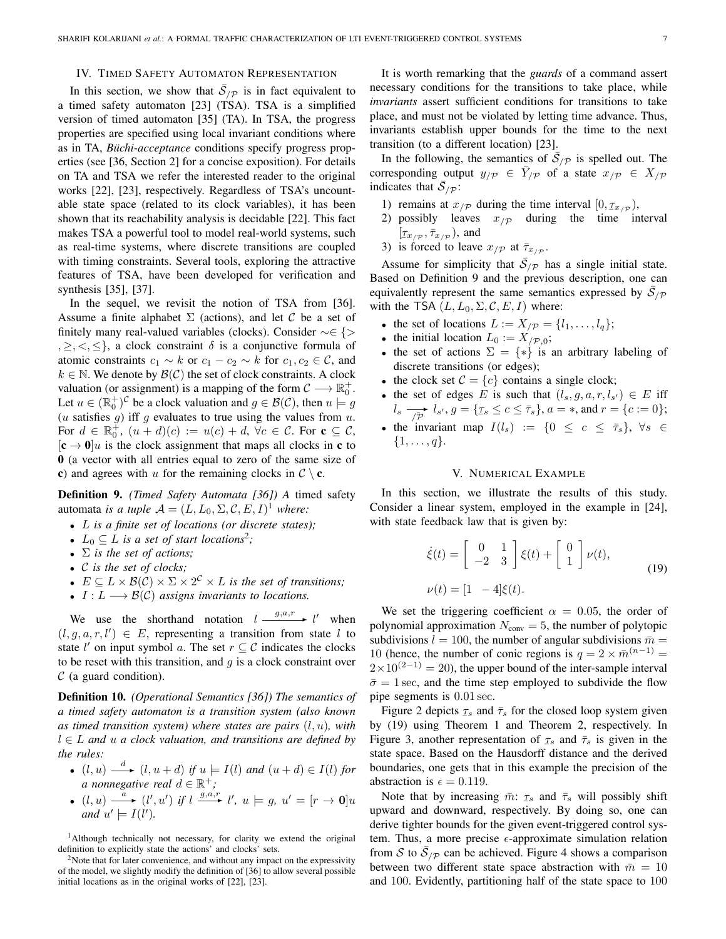## IV. TIMED SAFETY AUTOMATON REPRESENTATION

In this section, we show that  $\overline{S}_{/P}$  is in fact equivalent to a timed safety automaton [23] (TSA). TSA is a simplified version of timed automaton [35] (TA). In TSA, the progress properties are specified using local invariant conditions where as in TA, *Büchi-acceptance* conditions specify progress properties (see [36, Section 2] for a concise exposition). For details on TA and TSA we refer the interested reader to the original works [22], [23], respectively. Regardless of TSA's uncountable state space (related to its clock variables), it has been shown that its reachability analysis is decidable [22]. This fact makes TSA a powerful tool to model real-world systems, such as real-time systems, where discrete transitions are coupled with timing constraints. Several tools, exploring the attractive features of TSA, have been developed for verification and synthesis [35], [37].

In the sequel, we revisit the notion of TSA from [36]. Assume a finite alphabet  $\Sigma$  (actions), and let C be a set of finitely many real-valued variables (clocks). Consider  $\sim \in \{ \geq \}$  $\{0, 1, 2, 3, 4\}$ , a clock constraint  $\delta$  is a conjunctive formula of atomic constraints  $c_1 \sim k$  or  $c_1 - c_2 \sim k$  for  $c_1, c_2 \in \mathcal{C}$ , and  $k \in \mathbb{N}$ . We denote by  $\mathcal{B}(\mathcal{C})$  the set of clock constraints. A clock valuation (or assignment) is a mapping of the form  $C \longrightarrow \mathbb{R}_0^+$ . Let  $u \in (\mathbb{R}_{0}^{+})^{\mathcal{C}}$  be a clock valuation and  $g \in \mathcal{B}(\mathcal{C})$ , then  $u \models g$  $(u$  satisfies  $g)$  iff  $g$  evaluates to true using the values from  $u$ . For  $d \in \mathbb{R}_0^+$ ,  $(u+d)(c) := u(c) + d$ ,  $\forall c \in \mathcal{C}$ . For  $\mathbf{c} \subseteq \mathcal{C}$ ,  $[\mathbf{c} \rightarrow \mathbf{0}]u$  is the clock assignment that maps all clocks in **c** to **0** (a vector with all entries equal to zero of the same size of c) and agrees with u for the remaining clocks in  $C \setminus c$ .

Definition 9. (Timed Safety Automata [36]) A timed safety automata is a tuple  $A = (L, L_0, \Sigma, \mathcal{C}, E, I)^1$  where:

- $L$  is a finite set of locations (or discrete states);
- $L_0 \subseteq L$  is a set of start locations<sup>2</sup>;
- $\Sigma$  is the set of actions;
- $\bullet$  C is the set of clocks;
- $E \subseteq L \times \mathcal{B}(\mathcal{C}) \times \Sigma \times 2^{\mathcal{C}} \times L$  is the set of transitions;
- $I: L \longrightarrow \mathcal{B}(\mathcal{C})$  assigns invariants to locations.

We use the shorthand notation  $l \xrightarrow{g,a,r} l'$  when  $(l, q, a, r, l') \in E$ , representing a transition from state l to state l' on input symbol a. The set  $r \subseteq C$  indicates the clocks to be reset with this transition, and  $g$  is a clock constraint over  $C$  (a guard condition).

**Definition 10.** (Operational Semantics [36]) The semantics of a timed safety automaton is a transition system (also known as timed transition system) where states are pairs  $(l, u)$ , with  $l \in L$  and u a clock valuation, and transitions are defined by the rules:

• 
$$
(l, u) \xrightarrow{d} (l, u + d)
$$
 if  $u \models I(l)$  and  $(u + d) \in I(l)$  for  
a nonnegative real  $d \in \mathbb{R}^+$ ;

•  $(l, u) \xrightarrow{a} (l', u')$  if  $l \xrightarrow{g, a', r} l', u \models g, u' = [r \rightarrow 0]u$ <br>and  $u' \models I(l').$ 

<sup>1</sup>Although technically not necessary, for clarity we extend the original definition to explicitly state the actions' and clocks' sets.

 $2$ Note that for later convenience, and without any impact on the expressivity of the model, we slightly modify the definition of [36] to allow several possible initial locations as in the original works of [22], [23].

It is worth remarking that the *guards* of a command assert necessary conditions for the transitions to take place, while *invariants* assert sufficient conditions for transitions to take place, and must not be violated by letting time advance. Thus, invariants establish upper bounds for the time to the next transition (to a different location) [23].

In the following, the semantics of  $S_{p}$  is spelled out. The corresponding output  $y_{p} \in Y_{p}$  of a state  $x_{p} \in X_{p}$ indicates that  $\overline{S}_{/p}$ :

- 1) remains at  $x_{p}$  during the time interval  $[0, \tau_{x_{p}})$ ,
- 2) possibly leaves  $x/p$  during the time interval  $[\tau_{x/p}, \bar{\tau}_{x/p})$ , and
- 3) is forced to leave  $x_{p}$  at  $\bar{\tau}_{x_{p}}$ .

Assume for simplicity that  $\overline{S}_{/p}$  has a single initial state. Based on Definition 9 and the previous description, one can equivalently represent the same semantics expressed by  $\overline{\mathcal{S}}_{p}$ with the TSA  $(L, L_0, \Sigma, \mathcal{C}, E, I)$  where:

- the set of locations  $L := X_{p} = \{l_1, \ldots, l_q\};$
- the initial location  $L_0 := X'_{/\mathcal{P},0}$ ;
- the set of actions  $\Sigma = \{*\}$  is an arbitrary labeling of discrete transitions (or edges);
- the clock set  $\mathcal{C} = \{c\}$  contains a single clock;
- the set of edges E is such that  $(l_s, g, a, r, l_{s'}) \in E$  iff  $l_s \longrightarrow l_{s'}, g = {\tau_s \le c \le \bar{\tau}_s}, a = *, \text{ and } r = {c := 0};$
- the invariant map  $I(l_s) := \{0 \leq c \leq \overline{\tau}_s\}, \forall s \in$  $\{1,\ldots,q\}.$

# V. NUMERICAL EXAMPLE

In this section, we illustrate the results of this study. Consider a linear system, employed in the example in [24], with state feedback law that is given by:

$$
\dot{\xi}(t) = \begin{bmatrix} 0 & 1 \\ -2 & 3 \end{bmatrix} \xi(t) + \begin{bmatrix} 0 \\ 1 \end{bmatrix} \nu(t),
$$
  
\n
$$
\nu(t) = \begin{bmatrix} 1 & -4 \end{bmatrix} \xi(t).
$$
 (19)

We set the triggering coefficient  $\alpha = 0.05$ , the order of polynomial approximation  $N_{\text{conv}} = 5$ , the number of polytopic subdivisions  $l = 100$ , the number of angular subdivisions  $\bar{m} =$ 10 (hence, the number of conic regions is  $q = 2 \times \overline{m}^{(n-1)}$  =  $2 \times 10^{(2-1)} = 20$ , the upper bound of the inter-sample interval  $\bar{\sigma} = 1$  sec, and the time step employed to subdivide the flow pipe segments is 0.01 sec.

Figure 2 depicts  $\tau_s$  and  $\bar{\tau}_s$  for the closed loop system given by (19) using Theorem 1 and Theorem 2, respectively. In Figure 3, another representation of  $\tau_s$  and  $\bar{\tau}_s$  is given in the state space. Based on the Hausdorff distance and the derived boundaries, one gets that in this example the precision of the abstraction is  $\epsilon = 0.119$ .

Note that by increasing  $\bar{m}$ :  $\tau_s$  and  $\bar{\tau}_s$  will possibly shift upward and downward, respectively. By doing so, one can derive tighter bounds for the given event-triggered control system. Thus, a more precise  $\epsilon$ -approximate simulation relation from S to  $\overline{S}_{p}$  can be achieved. Figure 4 shows a comparison between two different state space abstraction with  $\bar{m} = 10$ and 100. Evidently, partitioning half of the state space to 100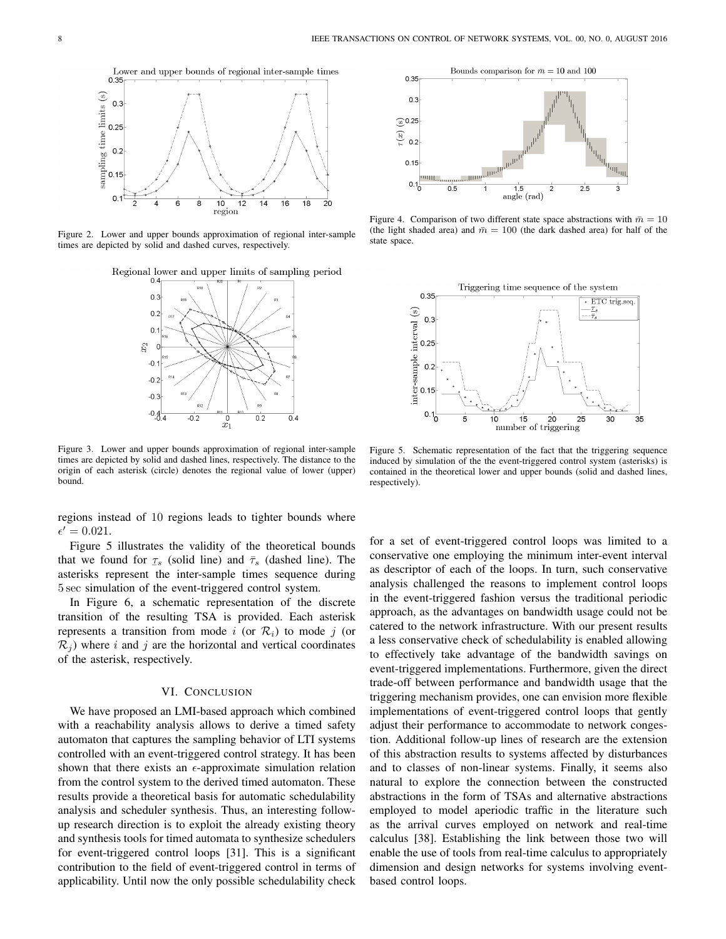

Figure 2. Lower and upper bounds approximation of regional inter-sample times are depicted by solid and dashed curves, respectively.

Regional lower and upper limits of sampling period



Figure 3. Lower and upper bounds approximation of regional inter-sample times are depicted by solid and dashed lines, respectively. The distance to the origin of each asterisk (circle) denotes the regional value of lower (upper) bound.

regions instead of 10 regions leads to tighter bounds where  $\epsilon' = 0.021.$ 

Figure 5 illustrates the validity of the theoretical bounds that we found for  $\tau_s$  (solid line) and  $\bar{\tau}_s$  (dashed line). The asterisks represent the inter-sample times sequence during 5 sec simulation of the event-triggered control system.

In Figure 6, a schematic representation of the discrete transition of the resulting TSA is provided. Each asterisk represents a transition from mode i (or  $\mathcal{R}_i$ ) to mode j (or  $\mathcal{R}_j$ ) where i and j are the horizontal and vertical coordinates of the asterisk, respectively.

## VI. CONCLUSION

We have proposed an LMI-based approach which combined with a reachability analysis allows to derive a timed safety automaton that captures the sampling behavior of LTI systems controlled with an event-triggered control strategy. It has been shown that there exists an  $\epsilon$ -approximate simulation relation from the control system to the derived timed automaton. These results provide a theoretical basis for automatic schedulability analysis and scheduler synthesis. Thus, an interesting followup research direction is to exploit the already existing theory and synthesis tools for timed automata to synthesize schedulers for event-triggered control loops [31]. This is a significant contribution to the field of event-triggered control in terms of applicability. Until now the only possible schedulability check



Figure 4. Comparison of two different state space abstractions with  $\bar{m} = 10$ (the light shaded area) and  $\bar{m} = 100$  (the dark dashed area) for half of the state space.



Figure 5. Schematic representation of the fact that the triggering sequence induced by simulation of the the event-triggered control system (asterisks) is contained in the theoretical lower and upper bounds (solid and dashed lines, respectively).

for a set of event-triggered control loops was limited to a conservative one employing the minimum inter-event interval as descriptor of each of the loops. In turn, such conservative analysis challenged the reasons to implement control loops in the event-triggered fashion versus the traditional periodic approach, as the advantages on bandwidth usage could not be catered to the network infrastructure. With our present results a less conservative check of schedulability is enabled allowing to effectively take advantage of the bandwidth savings on event-triggered implementations. Furthermore, given the direct trade-off between performance and bandwidth usage that the triggering mechanism provides, one can envision more flexible implementations of event-triggered control loops that gently adjust their performance to accommodate to network congestion. Additional follow-up lines of research are the extension of this abstraction results to systems affected by disturbances and to classes of non-linear systems. Finally, it seems also natural to explore the connection between the constructed abstractions in the form of TSAs and alternative abstractions employed to model aperiodic traffic in the literature such as the arrival curves employed on network and real-time calculus [38]. Establishing the link between those two will enable the use of tools from real-time calculus to appropriately dimension and design networks for systems involving eventbased control loops.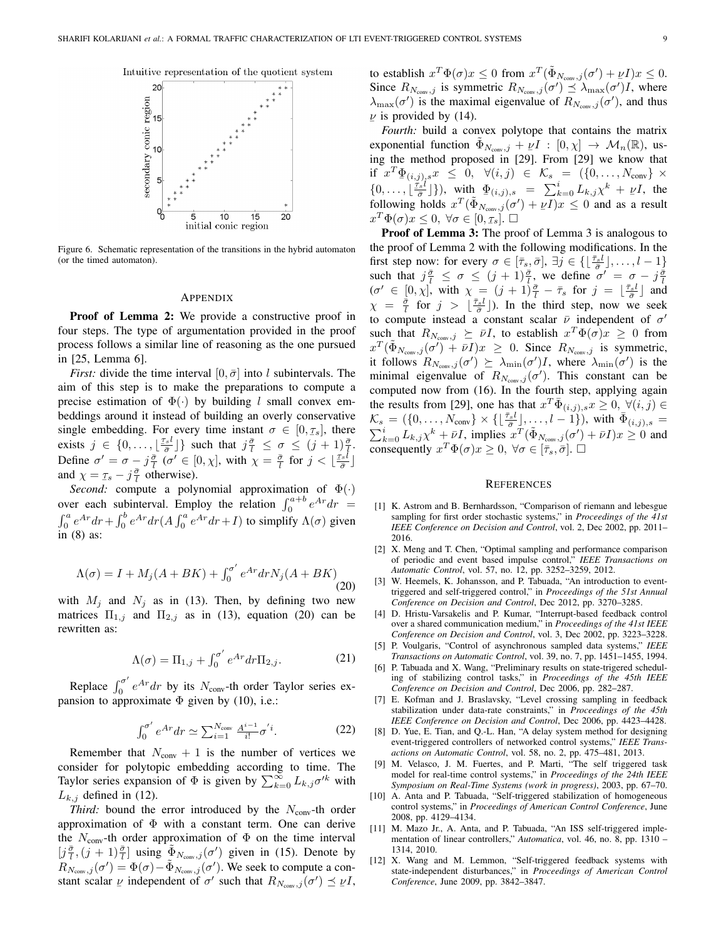

Figure 6. Schematic representation of the transitions in the hybrid automaton (or the timed automaton).

#### **APPENDIX**

**Proof of Lemma 2:** We provide a constructive proof in four steps. The type of argumentation provided in the proof process follows a similar line of reasoning as the one pursued in [25, Lemma 6].

*First:* divide the time interval  $[0, \bar{\sigma}]$  into l subintervals. The aim of this step is to make the preparations to compute a precise estimation of  $\Phi(\cdot)$  by building l small convex embeddings around it instead of building an overly conservative single embedding. For every time instant  $\sigma \in [0, \tau_s]$ , there exists  $j \in \{0,\ldots,\lfloor \frac{\tau_s l}{\bar{\sigma}} \rfloor\}$  such that  $j\frac{\bar{\sigma}}{l} \leq \sigma \leq (j+1)\frac{\bar{\sigma}}{l}$ . Define  $\sigma' = \sigma - j\frac{\bar{\sigma}}{l}$  ( $\sigma' \in [0, \chi]$ , with  $\chi = \frac{\bar{\sigma}}{l}$  for  $j < \lfloor \frac{\tau_s l}{\bar{\sigma}} \rfloor$ and  $\chi = \tau_s - j\frac{\bar{\sigma}}{l}$  otherwise).

*Second:* compute a polynomial approximation of  $\Phi(\cdot)$ <br>over each subinterval. Employ the relation  $\int_0^{a+b} e^{Ar} dr =$  $\int_0^a e^{Ar} dr + \int_0^b e^{Ar} dr (A \int_0^a e^{Ar} dr + I)$  to simplify  $\Lambda(\sigma)$  given in  $(8)$  as:

$$
\Lambda(\sigma) = I + M_j(A + BK) + \int_0^{\sigma'} e^{Ar} dr N_j(A + BK)
$$
\n(20)

with  $M_j$  and  $N_j$  as in (13). Then, by defining two new matrices  $\Pi_{1,j}$  and  $\Pi_{2,j}$  as in (13), equation (20) can be rewritten as:

$$
\Lambda(\sigma) = \Pi_{1,j} + \int_0^{\sigma'} e^{Ar} dr \Pi_{2,j}.
$$
 (21)

Replace  $\int_0^{\sigma'} e^{Ar} dr$  by its  $N_{\text{conv}}$ -th order Taylor series expansion to approximate  $\Phi$  given by (10), i.e.:

$$
\int_0^{\sigma'} e^{Ar} dr \simeq \sum_{i=1}^{N_{\text{conv}}} \frac{A^{i-1}}{i!} \sigma'^i.
$$
 (22)

Remember that  $N_{\text{conv}} + 1$  is the number of vertices we consider for polytopic embedding according to time. The Taylor series expansion of  $\Phi$  is given by  $\sum_{k=0}^{\infty} L_{k,j} \sigma^{k}$  with  $L_{k,j}$  defined in (12).

*Third:* bound the error introduced by the  $N_{\text{conv}}$ -th order approximation of  $\Phi$  with a constant term. One can derive the  $N_{\text{conv}}$ -th order approximation of  $\Phi$  on the time interval  $[j\frac{\bar{\sigma}}{l}, (j+1)\frac{\bar{\sigma}}{l}]$  using  $\Phi_{N_{\text{conv}}, j}(\sigma')$  given in (15). Denote by  $R_{N_{\text{conv}},j}(\sigma') = \Phi(\sigma) - \tilde{\Phi}_{N_{\text{conv}},j}(\sigma')$ . We seek to compute a constant scalar  $\nu$  independent of  $\sigma'$  such that  $R_{N_{\text{conv}},j}(\sigma') \preceq \nu I$ , to establish  $x^T \Phi(\sigma) x \leq 0$  from  $x^T (\tilde{\Phi}_{N_{\text{conv}},j}(\sigma') + \nu I) x \leq 0$ . Since  $R_{N_{\text{conv}},j}$  is symmetric  $R_{N_{\text{conv}},j}(\sigma') \preceq \lambda_{\max}(\sigma')I$ , where  $\lambda_{\max}(\sigma')$  is the maximal eigenvalue of  $R_{N_{\text{conv}},j}(\sigma')$ , and thus  $\nu$  is provided by (14).

Fourth: build a convex polytope that contains the matrix exponential function  $\Phi_{N_{\text{conv}},j} + \nu I : [0, \chi] \to \mathcal{M}_n(\mathbb{R})$ , using the method proposed in [29]. From [29] we know that if  $x^T \Phi_{(i,j),s} x \leq 0$ ,  $\forall (i,j) \in \mathcal{K}_s = (\{0,\ldots,N_{\text{conv}}\} \times \{0,\ldots,\lfloor \frac{Ts^l}{\sigma} \rfloor\})$ , with  $\Phi_{(i,j),s} = \sum_{k=0}^s L_{k,j} x^k + \nu I$ , the following holds  $x^T(\Phi_{N_{\text{conv}},j}(\sigma') + \nu I)x \leq 0$  and as a result  $x^T \Phi(\sigma) x \leq 0, \ \forall \sigma \in [0, \tau_s]. \ \Box$ 

**Proof of Lemma 3:** The proof of Lemma 3 is analogous to the proof of Lemma 2 with the following modifications. In the first step now: for every  $\sigma \in [\bar{\tau}_s, \bar{\sigma}], \exists j \in \{ \lfloor \frac{\bar{\tau}_s l}{\bar{\sigma}} \rfloor, \ldots, l-1 \}$ such that  $j\frac{\bar{\sigma}}{l} \leq \sigma \leq (j+1)\frac{\bar{\sigma}}{l}$ , we define  $\sigma' = \sigma - j\frac{\bar{\sigma}}{l}$ <br>  $(\sigma' \in [0, \chi],$  with  $\chi = (j+1)\frac{\bar{\sigma}}{l} - \bar{\tau}_s$  for  $j = \lfloor \frac{\bar{\tau}_s l}{\bar{\sigma}} \rfloor$  and  $\chi = \frac{\bar{\sigma}}{l}$  for  $j > \lfloor \frac{\bar{\tau}_s l}{\bar{\sigma}} \rfloor$ ). In the third s to compute instead a constant scalar  $\bar{\nu}$  independent of  $\sigma'$ such that  $R_{N_{\text{conv}},j} \succeq \bar{\nu}I$ , to establish  $x^T \Phi(\sigma) x \geq 0$  from  $x^T(\tilde{\Phi}_{N_{\text{conv}},j}(\sigma') + \bar{\nu}I)x \geq 0$ . Since  $R_{N_{\text{conv}},j}$  is symmetric, it follows  $R_{N_{\text{conv}},j}(\sigma') \succeq \lambda_{\min}(\sigma')I$ , where  $\lambda_{\min}(\sigma')$  is the minimal eigenvalue of  $R_{N_{\text{conv}},j}(\sigma')$ . This constant can be computed now from (16). In the fourth step, applying again the results from [29], one has that  $x^T \overline{\Phi}_{(i,j),s} x \geq 0, \ \forall (i,j) \in$  $\mathcal{K}_s = (\{0, \ldots, N_{\text{conv}}\} \times \{\lfloor \frac{\bar{\tau}_s l}{\bar{\sigma}} \rfloor, \ldots, l-1\}), \text{ with } \bar{\Phi}_{(i,j),s} = \sum_{k=0}^i L_{k,j} \chi^k + \bar{\nu} I, \text{ implies } x^T(\tilde{\Phi}_{N_{\text{conv}},j}(\sigma') + \bar{\nu} I)x \geq 0 \text{ and }$ consequently  $x^T \Phi(\sigma) x \geq 0$ ,  $\forall \sigma \in [\bar{\tau}_s, \bar{\sigma}]$ .  $\Box$ 

#### **REFERENCES**

- [1] K. Astrom and B. Bernhardsson, "Comparison of riemann and lebesgue sampling for first order stochastic systems," in Proceedings of the 41st IEEE Conference on Decision and Control, vol. 2, Dec 2002, pp. 2011-2016.
- [2] X. Meng and T. Chen, "Optimal sampling and performance comparison of periodic and event based impulse control," IEEE Transactions on Automatic Control, vol. 57, no. 12, pp. 3252-3259, 2012.
- [3] W. Heemels, K. Johansson, and P. Tabuada, "An introduction to eventtriggered and self-triggered control," in Proceedings of the 51st Annual Conference on Decision and Control, Dec 2012, pp. 3270-3285.
- $[4]$ D. Hristu-Varsakelis and P. Kumar, "Interrupt-based feedback control over a shared communication medium," in *Proceedings of the 41st IEEE* Conference on Decision and Control, vol. 3, Dec 2002, pp. 3223-3228.
- [5] P. Voulgaris, "Control of asynchronous sampled data systems," IEEE Transactions on Automatic Control, vol. 39, no. 7, pp. 1451-1455, 1994.
- [6] P. Tabuada and X. Wang, "Preliminary results on state-trigered scheduling of stabilizing control tasks," in Proceedings of the 45th IEEE Conference on Decision and Control, Dec 2006, pp. 282-287.
- $[7]$ E. Kofman and J. Braslavsky, "Level crossing sampling in feedback stabilization under data-rate constraints," in Proceedings of the 45th IEEE Conference on Decision and Control, Dec 2006, pp. 4423-4428.
- [8] D. Yue, E. Tian, and Q.-L. Han, "A delay system method for designing event-triggered controllers of networked control systems," IEEE Transactions on Automatic Control, vol. 58, no. 2, pp. 475-481, 2013.
- M. Velasco, J. M. Fuertes, and P. Marti, "The self triggered task  $[9]$ model for real-time control systems," in Proceedings of the 24th IEEE Symposium on Real-Time Systems (work in progress), 2003, pp. 67-70.
- [10] A. Anta and P. Tabuada, "Self-triggered stabilization of homogeneous control systems," in Proceedings of American Control Conference, June 2008, pp. 4129-4134.
- [11] M. Mazo Jr., A. Anta, and P. Tabuada, "An ISS self-triggered implementation of linear controllers," Automatica, vol. 46, no. 8, pp. 1310 – 1314, 2010.
- [12] X. Wang and M. Lemmon, "Self-triggered feedback systems with state-independent disturbances," in Proceedings of American Control Conference, June 2009, pp. 3842-3847.